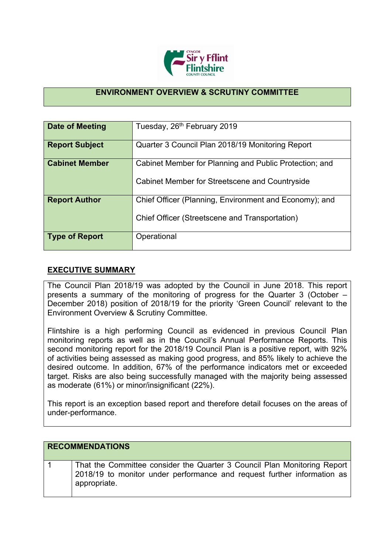

## **ENVIRONMENT OVERVIEW & SCRUTINY COMMITTEE**

| Date of Meeting       | Tuesday, 26 <sup>th</sup> February 2019                                                                  |
|-----------------------|----------------------------------------------------------------------------------------------------------|
| <b>Report Subject</b> | Quarter 3 Council Plan 2018/19 Monitoring Report                                                         |
| <b>Cabinet Member</b> | Cabinet Member for Planning and Public Protection; and<br>Cabinet Member for Streetscene and Countryside |
| <b>Report Author</b>  | Chief Officer (Planning, Environment and Economy); and<br>Chief Officer (Streetscene and Transportation) |
| <b>Type of Report</b> | Operational                                                                                              |

## **EXECUTIVE SUMMARY**

The Council Plan 2018/19 was adopted by the Council in June 2018. This report presents a summary of the monitoring of progress for the Quarter 3 (October – December 2018) position of 2018/19 for the priority 'Green Council' relevant to the Environment Overview & Scrutiny Committee.

Flintshire is a high performing Council as evidenced in previous Council Plan monitoring reports as well as in the Council's Annual Performance Reports. This second monitoring report for the 2018/19 Council Plan is a positive report, with 92% of activities being assessed as making good progress, and 85% likely to achieve the desired outcome. In addition, 67% of the performance indicators met or exceeded target. Risks are also being successfully managed with the majority being assessed as moderate (61%) or minor/insignificant (22%).

This report is an exception based report and therefore detail focuses on the areas of under-performance.

| <b>RECOMMENDATIONS</b>                                                                                                                                              |
|---------------------------------------------------------------------------------------------------------------------------------------------------------------------|
| That the Committee consider the Quarter 3 Council Plan Monitoring Report<br>2018/19 to monitor under performance and request further information as<br>appropriate. |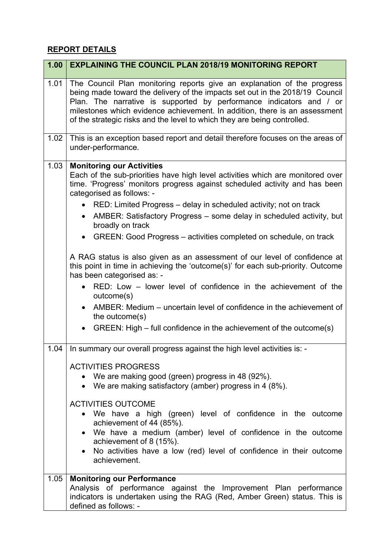## **REPORT DETAILS**

| 1.00 | <b>EXPLAINING THE COUNCIL PLAN 2018/19 MONITORING REPORT</b>                                                                                                                                                                                                                                                                                                                                                                                                                                                                                                                                                                                                                                                                                                                                                                                                                                                       |
|------|--------------------------------------------------------------------------------------------------------------------------------------------------------------------------------------------------------------------------------------------------------------------------------------------------------------------------------------------------------------------------------------------------------------------------------------------------------------------------------------------------------------------------------------------------------------------------------------------------------------------------------------------------------------------------------------------------------------------------------------------------------------------------------------------------------------------------------------------------------------------------------------------------------------------|
| 1.01 | The Council Plan monitoring reports give an explanation of the progress<br>being made toward the delivery of the impacts set out in the 2018/19 Council<br>Plan. The narrative is supported by performance indicators and / or<br>milestones which evidence achievement. In addition, there is an assessment<br>of the strategic risks and the level to which they are being controlled.                                                                                                                                                                                                                                                                                                                                                                                                                                                                                                                           |
| 1.02 | This is an exception based report and detail therefore focuses on the areas of<br>under-performance.                                                                                                                                                                                                                                                                                                                                                                                                                                                                                                                                                                                                                                                                                                                                                                                                               |
| 1.03 | <b>Monitoring our Activities</b><br>Each of the sub-priorities have high level activities which are monitored over<br>time. 'Progress' monitors progress against scheduled activity and has been<br>categorised as follows: -<br>• RED: Limited Progress – delay in scheduled activity; not on track<br>AMBER: Satisfactory Progress – some delay in scheduled activity, but<br>broadly on track<br>GREEN: Good Progress – activities completed on schedule, on track<br>A RAG status is also given as an assessment of our level of confidence at<br>this point in time in achieving the 'outcome(s)' for each sub-priority. Outcome<br>has been categorised as: -<br>RED: Low – lower level of confidence in the achievement of the<br>outcome(s)<br>AMBER: Medium – uncertain level of confidence in the achievement of<br>the outcome(s)<br>GREEN: High – full confidence in the achievement of the outcome(s) |
| 1.04 | In summary our overall progress against the high level activities is: -<br><b>ACTIVITIES PROGRESS</b><br>• We are making good (green) progress in 48 (92%).<br>• We are making satisfactory (amber) progress in 4 $(8\%)$ .<br><b>ACTIVITIES OUTCOME</b><br>• We have a high (green) level of confidence in the outcome<br>achievement of 44 (85%).<br>• We have a medium (amber) level of confidence in the outcome<br>achievement of 8 (15%).<br>No activities have a low (red) level of confidence in their outcome<br>achievement.                                                                                                                                                                                                                                                                                                                                                                             |
| 1.05 | <b>Monitoring our Performance</b><br>Analysis of performance against the Improvement Plan performance<br>indicators is undertaken using the RAG (Red, Amber Green) status. This is<br>defined as follows: -                                                                                                                                                                                                                                                                                                                                                                                                                                                                                                                                                                                                                                                                                                        |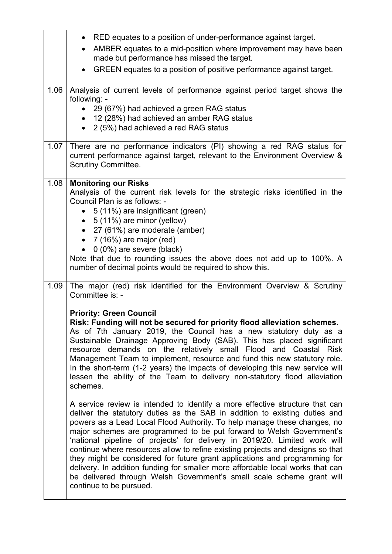|      | RED equates to a position of under-performance against target.<br>$\bullet$                                                                                                                                                                                                                                                                                                                                                                                                                                                                                                                                                                                                                                                                        |
|------|----------------------------------------------------------------------------------------------------------------------------------------------------------------------------------------------------------------------------------------------------------------------------------------------------------------------------------------------------------------------------------------------------------------------------------------------------------------------------------------------------------------------------------------------------------------------------------------------------------------------------------------------------------------------------------------------------------------------------------------------------|
|      | AMBER equates to a mid-position where improvement may have been<br>made but performance has missed the target.                                                                                                                                                                                                                                                                                                                                                                                                                                                                                                                                                                                                                                     |
|      | GREEN equates to a position of positive performance against target.                                                                                                                                                                                                                                                                                                                                                                                                                                                                                                                                                                                                                                                                                |
| 1.06 | Analysis of current levels of performance against period target shows the<br>following: -                                                                                                                                                                                                                                                                                                                                                                                                                                                                                                                                                                                                                                                          |
|      | • 29 (67%) had achieved a green RAG status<br>• 12 (28%) had achieved an amber RAG status                                                                                                                                                                                                                                                                                                                                                                                                                                                                                                                                                                                                                                                          |
|      | 2 (5%) had achieved a red RAG status<br>$\bullet$                                                                                                                                                                                                                                                                                                                                                                                                                                                                                                                                                                                                                                                                                                  |
| 1.07 | There are no performance indicators (PI) showing a red RAG status for<br>current performance against target, relevant to the Environment Overview &<br><b>Scrutiny Committee.</b>                                                                                                                                                                                                                                                                                                                                                                                                                                                                                                                                                                  |
| 1.08 | <b>Monitoring our Risks</b>                                                                                                                                                                                                                                                                                                                                                                                                                                                                                                                                                                                                                                                                                                                        |
|      | Analysis of the current risk levels for the strategic risks identified in the<br>Council Plan is as follows: -                                                                                                                                                                                                                                                                                                                                                                                                                                                                                                                                                                                                                                     |
|      | • 5 (11%) are insignificant (green)                                                                                                                                                                                                                                                                                                                                                                                                                                                                                                                                                                                                                                                                                                                |
|      | • $5(11\%)$ are minor (yellow)                                                                                                                                                                                                                                                                                                                                                                                                                                                                                                                                                                                                                                                                                                                     |
|      | • 27 (61%) are moderate (amber)                                                                                                                                                                                                                                                                                                                                                                                                                                                                                                                                                                                                                                                                                                                    |
|      | • $7(16%)$ are major (red)<br>$0(0\%)$ are severe (black)                                                                                                                                                                                                                                                                                                                                                                                                                                                                                                                                                                                                                                                                                          |
|      | Note that due to rounding issues the above does not add up to 100%. A                                                                                                                                                                                                                                                                                                                                                                                                                                                                                                                                                                                                                                                                              |
|      | number of decimal points would be required to show this.                                                                                                                                                                                                                                                                                                                                                                                                                                                                                                                                                                                                                                                                                           |
| 1.09 | The major (red) risk identified for the Environment Overview & Scrutiny<br>Committee is: -                                                                                                                                                                                                                                                                                                                                                                                                                                                                                                                                                                                                                                                         |
|      | <b>Priority: Green Council</b>                                                                                                                                                                                                                                                                                                                                                                                                                                                                                                                                                                                                                                                                                                                     |
|      | Risk: Funding will not be secured for priority flood alleviation schemes.<br>As of 7th January 2019, the Council has a new statutory duty as a<br>Sustainable Drainage Approving Body (SAB). This has placed significant<br>resource demands on the relatively small Flood and Coastal Risk<br>Management Team to implement, resource and fund this new statutory role.<br>In the short-term (1-2 years) the impacts of developing this new service will<br>lessen the ability of the Team to delivery non-statutory flood alleviation<br>schemes.                                                                                                                                                                                                 |
|      | A service review is intended to identify a more effective structure that can<br>deliver the statutory duties as the SAB in addition to existing duties and<br>powers as a Lead Local Flood Authority. To help manage these changes, no<br>major schemes are programmed to be put forward to Welsh Government's<br>'national pipeline of projects' for delivery in 2019/20. Limited work will<br>continue where resources allow to refine existing projects and designs so that<br>they might be considered for future grant applications and programming for<br>delivery. In addition funding for smaller more affordable local works that can<br>be delivered through Welsh Government's small scale scheme grant will<br>continue to be pursued. |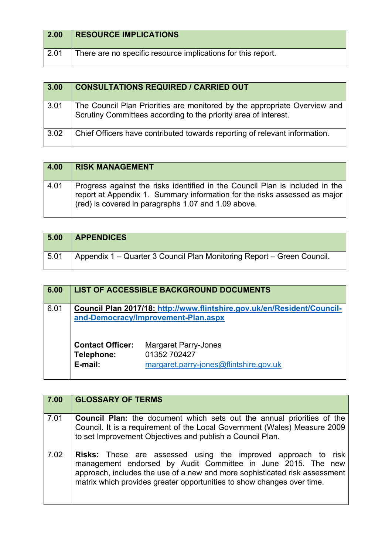| 2.00 | <b>RESOURCE IMPLICATIONS</b>                                 |
|------|--------------------------------------------------------------|
| 2.01 | There are no specific resource implications for this report. |

| 3.00 | <b>CONSULTATIONS REQUIRED / CARRIED OUT</b>                                                                                                  |
|------|----------------------------------------------------------------------------------------------------------------------------------------------|
| 3.01 | The Council Plan Priorities are monitored by the appropriate Overview and<br>Scrutiny Committees according to the priority area of interest. |
| 3.02 | Chief Officers have contributed towards reporting of relevant information.                                                                   |

| 4.00 | <b>RISK MANAGEMENT</b>                                                                                                                                                                                           |
|------|------------------------------------------------------------------------------------------------------------------------------------------------------------------------------------------------------------------|
| 4.01 | Progress against the risks identified in the Council Plan is included in the<br>report at Appendix 1. Summary information for the risks assessed as major<br>(red) is covered in paragraphs 1.07 and 1.09 above. |

| 5.00 | <b>APPENDICES</b>                                                      |
|------|------------------------------------------------------------------------|
| 5.01 | Appendix 1 – Quarter 3 Council Plan Monitoring Report – Green Council. |

| 6.00 |                                                  | <b>LIST OF ACCESSIBLE BACKGROUND DOCUMENTS</b>                                                                 |
|------|--------------------------------------------------|----------------------------------------------------------------------------------------------------------------|
| 6.01 |                                                  | Council Plan 2017/18: http://www.flintshire.gov.uk/en/Resident/Council-<br>and-Democracy/Improvement-Plan.aspx |
|      | <b>Contact Officer:</b><br>Telephone:<br>E-mail: | <b>Margaret Parry-Jones</b><br>01352 702427<br>margaret.parry-jones@flintshire.gov.uk                          |

| 7.00 | <b>GLOSSARY OF TERMS</b>                                                                                                                                                                                                                                                                     |
|------|----------------------------------------------------------------------------------------------------------------------------------------------------------------------------------------------------------------------------------------------------------------------------------------------|
| 7.01 | <b>Council Plan:</b> the document which sets out the annual priorities of the<br>Council. It is a requirement of the Local Government (Wales) Measure 2009<br>to set Improvement Objectives and publish a Council Plan.                                                                      |
| 7.02 | <b>Risks:</b> These are assessed using the improved approach to risk<br>management endorsed by Audit Committee in June 2015. The new<br>approach, includes the use of a new and more sophisticated risk assessment<br>matrix which provides greater opportunities to show changes over time. |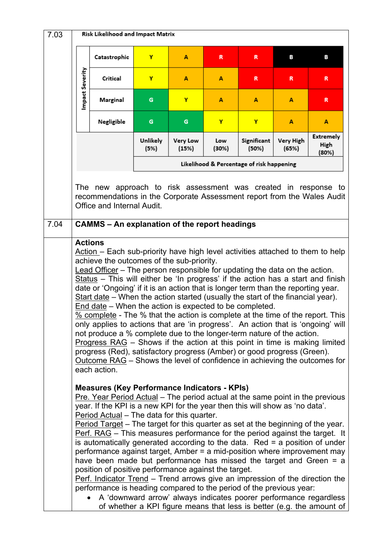| Catastrophic<br>Y<br>R<br>в<br>R<br>A<br>Impact Severity<br>Critical<br>Y<br>A<br>A<br>R<br>R<br>Marginal<br>Y<br>G<br>A<br>A<br>A<br>Y<br>Negligible<br>Y<br>G<br>G<br>A<br><b>Extremely</b><br>Unlikely<br><b>Very Low</b><br>Significant<br>Very High<br>Low<br>High<br>(15%)<br>(30%)<br>(65%)<br>(5%)<br>(50%)<br>(80%)<br>Likelihood & Percentage of risk happening<br>The new approach to risk assessment was created in response to<br>recommendations in the Corporate Assessment report from the Wales Audit<br>Office and Internal Audit.<br>7.04<br><b>CAMMS - An explanation of the report headings</b><br><b>Actions</b><br>Action – Each sub-priority have high level activities attached to them to help                                                                                                                                                                                                                                                                                                                                                                                                                                                                                                                                                                                                                                                                                                                                                                                                                                                                                                                                                                                                                                                                                                                          |
|---------------------------------------------------------------------------------------------------------------------------------------------------------------------------------------------------------------------------------------------------------------------------------------------------------------------------------------------------------------------------------------------------------------------------------------------------------------------------------------------------------------------------------------------------------------------------------------------------------------------------------------------------------------------------------------------------------------------------------------------------------------------------------------------------------------------------------------------------------------------------------------------------------------------------------------------------------------------------------------------------------------------------------------------------------------------------------------------------------------------------------------------------------------------------------------------------------------------------------------------------------------------------------------------------------------------------------------------------------------------------------------------------------------------------------------------------------------------------------------------------------------------------------------------------------------------------------------------------------------------------------------------------------------------------------------------------------------------------------------------------------------------------------------------------------------------------------------------------|
|                                                                                                                                                                                                                                                                                                                                                                                                                                                                                                                                                                                                                                                                                                                                                                                                                                                                                                                                                                                                                                                                                                                                                                                                                                                                                                                                                                                                                                                                                                                                                                                                                                                                                                                                                                                                                                                   |
|                                                                                                                                                                                                                                                                                                                                                                                                                                                                                                                                                                                                                                                                                                                                                                                                                                                                                                                                                                                                                                                                                                                                                                                                                                                                                                                                                                                                                                                                                                                                                                                                                                                                                                                                                                                                                                                   |
|                                                                                                                                                                                                                                                                                                                                                                                                                                                                                                                                                                                                                                                                                                                                                                                                                                                                                                                                                                                                                                                                                                                                                                                                                                                                                                                                                                                                                                                                                                                                                                                                                                                                                                                                                                                                                                                   |
|                                                                                                                                                                                                                                                                                                                                                                                                                                                                                                                                                                                                                                                                                                                                                                                                                                                                                                                                                                                                                                                                                                                                                                                                                                                                                                                                                                                                                                                                                                                                                                                                                                                                                                                                                                                                                                                   |
|                                                                                                                                                                                                                                                                                                                                                                                                                                                                                                                                                                                                                                                                                                                                                                                                                                                                                                                                                                                                                                                                                                                                                                                                                                                                                                                                                                                                                                                                                                                                                                                                                                                                                                                                                                                                                                                   |
|                                                                                                                                                                                                                                                                                                                                                                                                                                                                                                                                                                                                                                                                                                                                                                                                                                                                                                                                                                                                                                                                                                                                                                                                                                                                                                                                                                                                                                                                                                                                                                                                                                                                                                                                                                                                                                                   |
|                                                                                                                                                                                                                                                                                                                                                                                                                                                                                                                                                                                                                                                                                                                                                                                                                                                                                                                                                                                                                                                                                                                                                                                                                                                                                                                                                                                                                                                                                                                                                                                                                                                                                                                                                                                                                                                   |
| achieve the outcomes of the sub-priority.<br>Lead Officer - The person responsible for updating the data on the action.<br>Status - This will either be 'In progress' if the action has a start and finish<br>date or 'Ongoing' if it is an action that is longer term than the reporting year.<br>Start date $-$ When the action started (usually the start of the financial year).<br>End date – When the action is expected to be completed.<br>% complete - The % that the action is complete at the time of the report. This<br>only applies to actions that are 'in progress'. An action that is 'ongoing' will<br>not produce a % complete due to the longer-term nature of the action.<br>Progress RAG – Shows if the action at this point in time is making limited<br>progress (Red), satisfactory progress (Amber) or good progress (Green).<br>Outcome RAG – Shows the level of confidence in achieving the outcomes for<br>each action.<br><b>Measures (Key Performance Indicators - KPIs)</b><br>Pre. Year Period Actual - The period actual at the same point in the previous<br>year. If the KPI is a new KPI for the year then this will show as 'no data'.<br>Period Actual - The data for this quarter.<br>Period Target - The target for this quarter as set at the beginning of the year.<br>Perf. RAG - This measures performance for the period against the target. It<br>is automatically generated according to the data. Red $=$ a position of under<br>performance against target, Amber = a mid-position where improvement may<br>have been made but performance has missed the target and Green $=$ a<br>position of positive performance against the target.<br>Perf. Indicator Trend – Trend arrows give an impression of the direction the<br>performance is heading compared to the period of the previous year: |